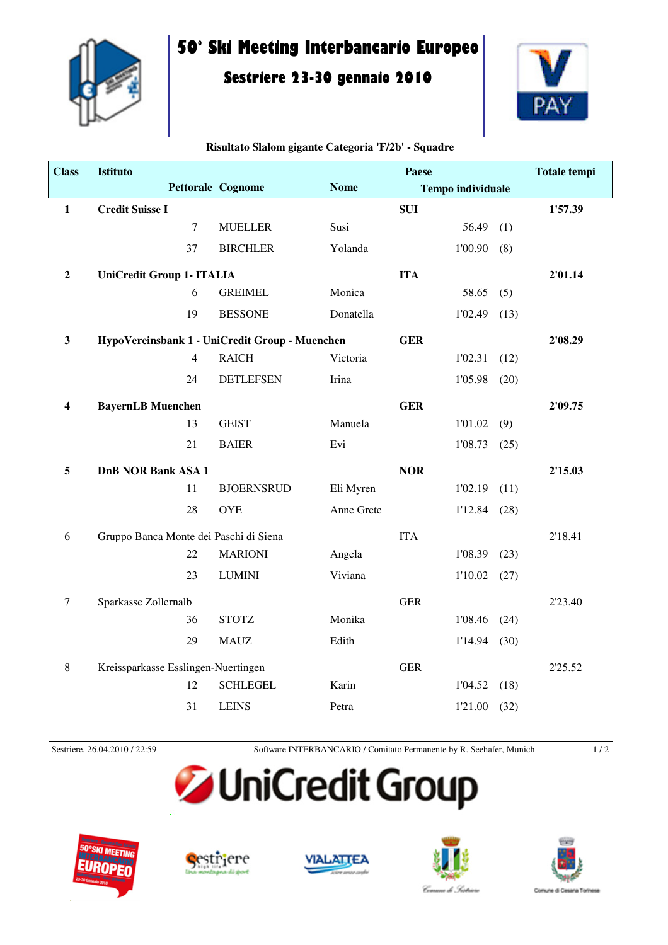

## **50° Ski Meeting Interbancario Europeo**

## **Sestriere 23-30 gennaio 2010**



| <b>Class</b>            | Istituto                               |                |                                                |             | <b>Paese</b> |                          |      | <b>Totale tempi</b> |
|-------------------------|----------------------------------------|----------------|------------------------------------------------|-------------|--------------|--------------------------|------|---------------------|
|                         |                                        |                | <b>Pettorale Cognome</b>                       | <b>Nome</b> |              | <b>Tempo individuale</b> |      |                     |
| $\mathbf{1}$            | <b>Credit Suisse I</b>                 |                |                                                |             | <b>SUI</b>   |                          |      | 1'57.39             |
|                         |                                        | $\overline{7}$ | <b>MUELLER</b>                                 | Susi        |              | 56.49                    | (1)  |                     |
|                         |                                        | 37             | <b>BIRCHLER</b>                                | Yolanda     |              | 1'00.90                  | (8)  |                     |
| $\boldsymbol{2}$        | <b>UniCredit Group 1- ITALIA</b>       |                |                                                |             | <b>ITA</b>   |                          |      | 2'01.14             |
|                         |                                        | 6              | <b>GREIMEL</b>                                 | Monica      |              | 58.65                    | (5)  |                     |
|                         |                                        | 19             | <b>BESSONE</b>                                 | Donatella   |              | 1'02.49                  | (13) |                     |
| $\mathbf{3}$            |                                        |                | HypoVereinsbank 1 - UniCredit Group - Muenchen |             | <b>GER</b>   |                          |      | 2'08.29             |
|                         |                                        | $\overline{4}$ | <b>RAICH</b>                                   | Victoria    |              | 1'02.31                  | (12) |                     |
|                         |                                        | 24             | <b>DETLEFSEN</b>                               | Irina       |              | 1'05.98                  | (20) |                     |
| $\overline{\mathbf{4}}$ | <b>BayernLB</b> Muenchen               |                |                                                |             | <b>GER</b>   |                          |      | 2'09.75             |
|                         |                                        | 13             | <b>GEIST</b>                                   | Manuela     |              | 1'01.02                  | (9)  |                     |
|                         |                                        | 21             | <b>BAIER</b>                                   | Evi         |              | 1'08.73                  | (25) |                     |
| 5                       | <b>DnB NOR Bank ASA 1</b>              |                |                                                |             | <b>NOR</b>   |                          |      | 2'15.03             |
|                         |                                        | 11             | <b>BJOERNSRUD</b>                              | Eli Myren   |              | 1'02.19                  | (11) |                     |
|                         |                                        | 28             | <b>OYE</b>                                     | Anne Grete  |              | 1'12.84                  | (28) |                     |
| 6                       | Gruppo Banca Monte dei Paschi di Siena |                |                                                |             | <b>ITA</b>   |                          |      | 2'18.41             |
|                         |                                        | 22             | <b>MARIONI</b>                                 | Angela      |              | 1'08.39                  | (23) |                     |
|                         |                                        | 23             | <b>LUMINI</b>                                  | Viviana     |              | 1'10.02                  | (27) |                     |
| $\tau$                  | Sparkasse Zollernalb                   |                |                                                |             | <b>GER</b>   |                          |      | 2'23.40             |
|                         |                                        | 36             | <b>STOTZ</b>                                   | Monika      |              | 1'08.46                  | (24) |                     |
|                         |                                        | 29             | <b>MAUZ</b>                                    | Edith       |              | 1'14.94                  | (30) |                     |
| $\,8\,$                 | Kreissparkasse Esslingen-Nuertingen    |                |                                                |             | <b>GER</b>   |                          |      | 2'25.52             |
|                         |                                        | 12             | <b>SCHLEGEL</b>                                | Karin       |              | 1'04.52                  | (18) |                     |
|                         |                                        | 31             | <b>LEINS</b>                                   | Petra       |              | 1'21.00                  | (32) |                     |

## **Risultato Slalom gigante Categoria 'F/2b' - Squadre**

Sestriere, 26.04.2010 / 22:59 Software INTERBANCARIO / Comitato Permanente by R. Seehafer, Munich 1 / 2

## **JniCredit Group**